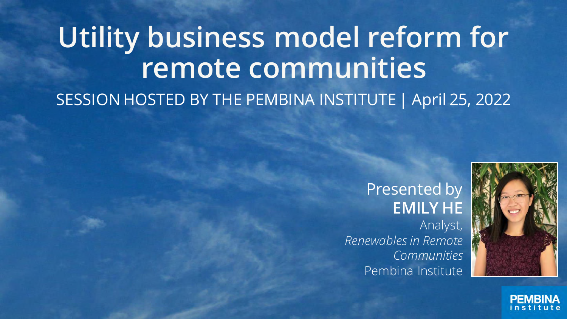# **Utility business model reform for remote communities** SESSION HOSTED BY THE PEMBINA INSTITUTE | April 25, 2022

#### Presented by **EMILY HE**

Analyst, *Renewables in Remote Communities* Pembina Institute



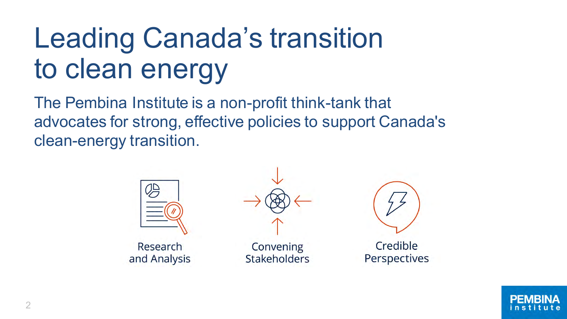# Leading Canada's transition to clean energy

The Pembina Institute is a non-profit think-tank that advocates for strong, effective policies to support Canada's clean-energy transition.



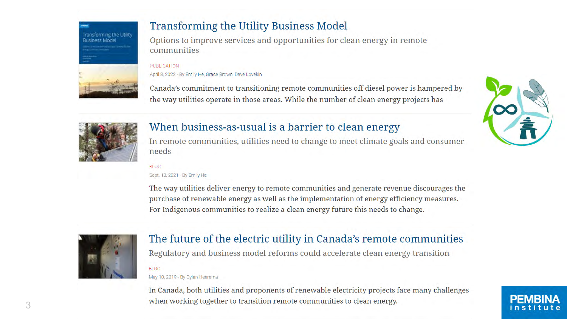

#### **Transforming the Utility Business Model**

Options to improve services and opportunities for clean energy in remote communities

#### **PUBLICATION**

April 8, 2022 - By Emily He, Grace Brown, Dave Lovekin

Canada's commitment to transitioning remote communities off diesel power is hampered by the way utilities operate in those areas. While the number of clean energy projects has



#### When business-as-usual is a barrier to clean energy

In remote communities, utilities need to change to meet climate goals and consumer needs

#### **BLOG**

Sept. 13, 2021 - By Emily He

The way utilities deliver energy to remote communities and generate revenue discourages the purchase of renewable energy as well as the implementation of energy efficiency measures. For Indigenous communities to realize a clean energy future this needs to change.



#### The future of the electric utility in Canada's remote communities

Regulatory and business model reforms could accelerate clean energy transition

#### **BLOG**

May 10, 2019 - By Dylan Heerema

In Canada, both utilities and proponents of renewable electricity projects face many challenges when working together to transition remote communities to clean energy.

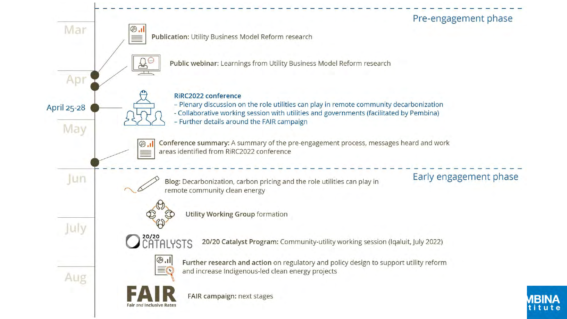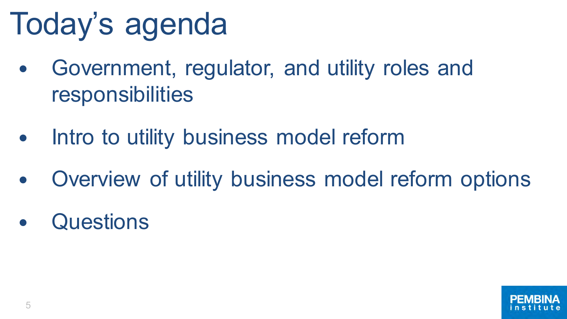# Today's agenda

- Government, regulator, and utility roles and responsibilities
- Intro to utility business model reform
- Overview of utility business model reform options
- **Questions**

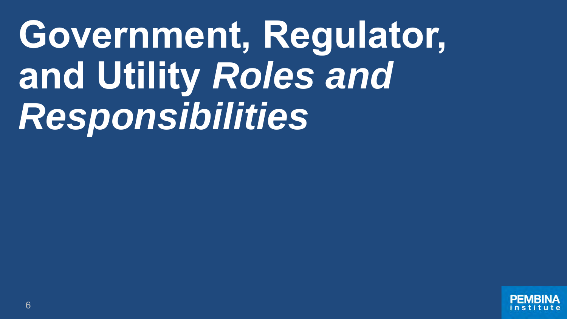**Government, Regulator, and Utility** *Roles and Responsibilities*

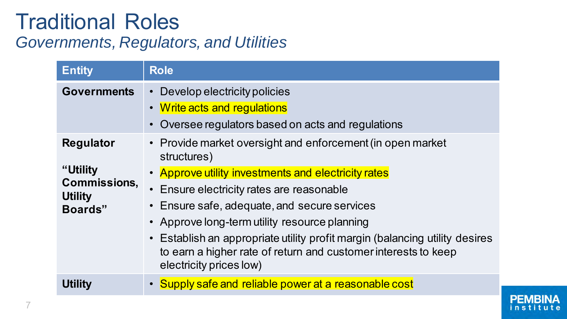#### Traditional Roles *Governments, Regulators, and Utilities*

| <b>Entity</b>                                                                    | <b>Role</b>                                                                                                                                                                                                                                                                                                                                                                                                                                                |  |  |  |  |
|----------------------------------------------------------------------------------|------------------------------------------------------------------------------------------------------------------------------------------------------------------------------------------------------------------------------------------------------------------------------------------------------------------------------------------------------------------------------------------------------------------------------------------------------------|--|--|--|--|
| <b>Governments</b>                                                               | Develop electricity policies<br>• Write acts and regulations<br>Oversee regulators based on acts and regulations                                                                                                                                                                                                                                                                                                                                           |  |  |  |  |
| <b>Regulator</b><br>"Utility<br><b>Commissions,</b><br><b>Utility</b><br>Boards" | • Provide market oversight and enforcement (in open market<br>structures)<br>• Approve utility investments and electricity rates<br>• Ensure electricity rates are reasonable<br>• Ensure safe, adequate, and secure services<br>• Approve long-term utility resource planning<br>• Establish an appropriate utility profit margin (balancing utility desires<br>to earn a higher rate of return and customer interests to keep<br>electricity prices low) |  |  |  |  |
| <b>Utility</b>                                                                   | • Supply safe and reliable power at a reasonable cost                                                                                                                                                                                                                                                                                                                                                                                                      |  |  |  |  |

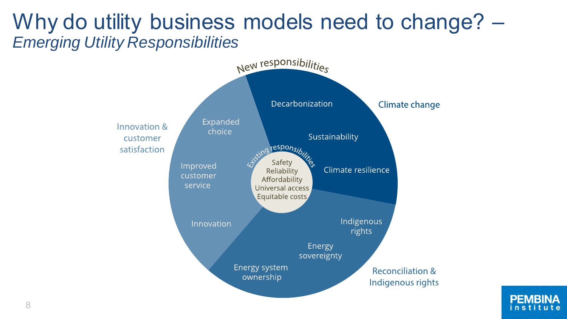#### Why do utility business models need to change?  $-$ *Emerging Utility Responsibilities*



PFM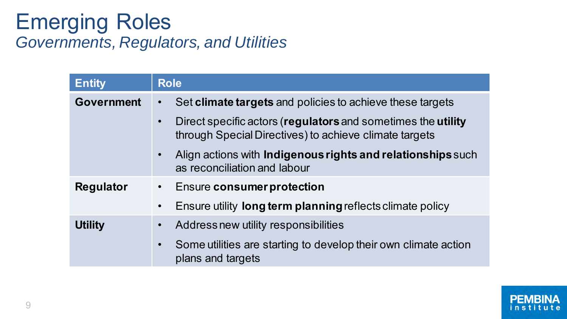#### Emerging Roles *Governments, Regulators, and Utilities*

| <b>Entity</b>     | <b>Role</b>                                                                                                            |  |  |  |
|-------------------|------------------------------------------------------------------------------------------------------------------------|--|--|--|
| <b>Government</b> | Set climate targets and policies to achieve these targets                                                              |  |  |  |
|                   | Direct specific actors (regulators and sometimes the utility<br>through Special Directives) to achieve climate targets |  |  |  |
|                   | Align actions with Indigenous rights and relationships such<br>$\bullet$<br>as reconciliation and labour               |  |  |  |
| <b>Regulator</b>  | <b>Ensure consumer protection</b><br>$\bullet$                                                                         |  |  |  |
|                   | Ensure utility long term planning reflects climate policy<br>$\bullet$                                                 |  |  |  |
| <b>Utility</b>    | Address new utility responsibilities                                                                                   |  |  |  |
|                   | Some utilities are starting to develop their own climate action<br>plans and targets                                   |  |  |  |

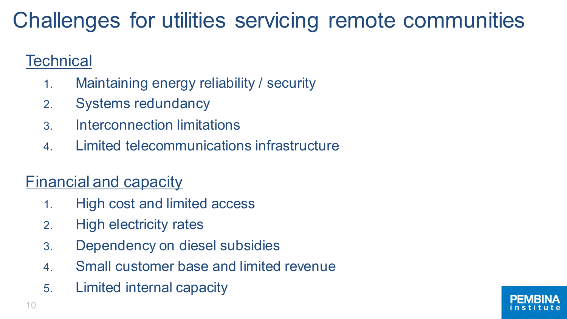### Challenges for utilities servicing remote communities

#### **Technical**

- 1. Maintaining energy reliability / security
- 2. Systems redundancy
- 3. Interconnection limitations
- 4. Limited telecommunications infrastructure

#### Financial and capacity

- 1. High cost and limited access
- 2. High electricity rates
- 3. Dependency on diesel subsidies
- 4. Small customer base and limited revenue
- 5. Limited internal capacity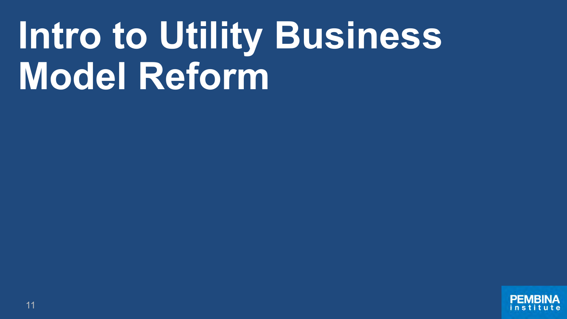# **Intro to Utility Business Model Reform**

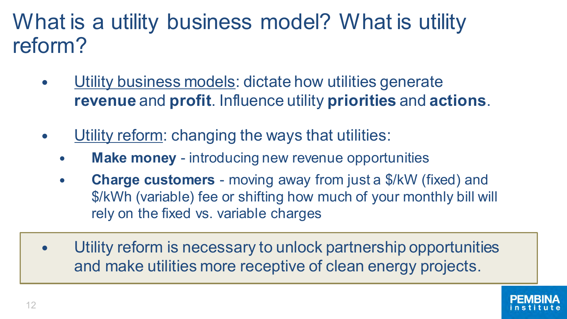#### What is a utility business model? What is utility reform?

- Utility business models: dictate how utilities generate **revenue** and **profit**. Influence utility **priorities** and **actions**.
- Utility reform: changing the ways that utilities:
	- **Make money** introducing new revenue opportunities
	- **Charge customers**  moving away from just a \$/kW (fixed) and \$/kWh (variable) fee or shifting how much of your monthly bill will rely on the fixed vs. variable charges
- Utility reform is necessary to unlock partnership opportunities and make utilities more receptive of clean energy projects.

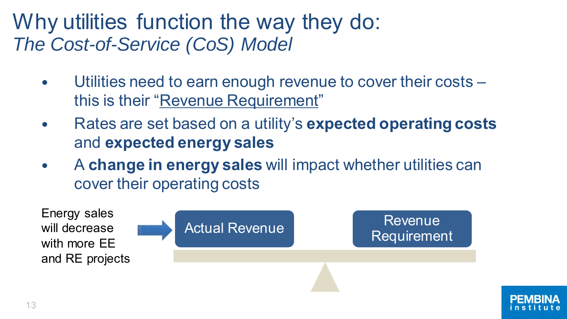#### Why utilities function the way they do: *The Cost-of-Service (CoS) Model*

- Utilities need to earn enough revenue to cover their costs this is their "Revenue Requirement"
- Rates are set based on a utility's **expected operating costs**  and **expected energy sales**
- A **change in energy sales** will impact whether utilities can cover their operating costs



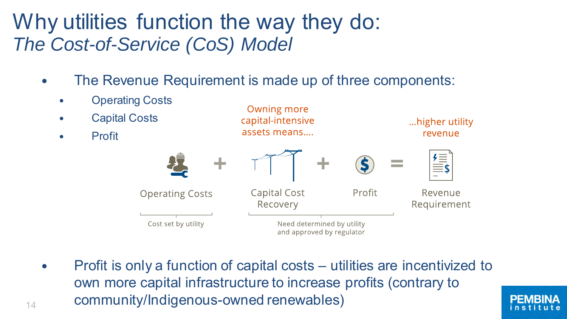#### Why utilities function the way they do: *The Cost-of-Service (CoS) Model*

• The Revenue Requirement is made up of three components:

Owning more

- Operating Costs
- Capital Costs
- Profit



• Profit is only a function of capital costs – utilities are incentivized to own more capital infrastructure to increase profits (contrary to  $_{14}$  community/Indigenous-owned renewables)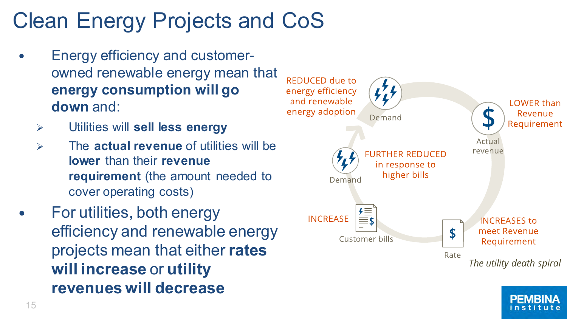# Clean Energy Projects and CoS

- Energy efficiency and customerowned renewable energy mean that **energy consumption will go down** and:
	- ➢ Utilities will **sell less energy**
	- ➢ The **actual revenue** of utilities will be **lower** than their **revenue requirement** (the amount needed to cover operating costs)
- For utilities, both energy efficiency and renewable energy projects mean that either **rates will increase** or **utility revenues will decrease**



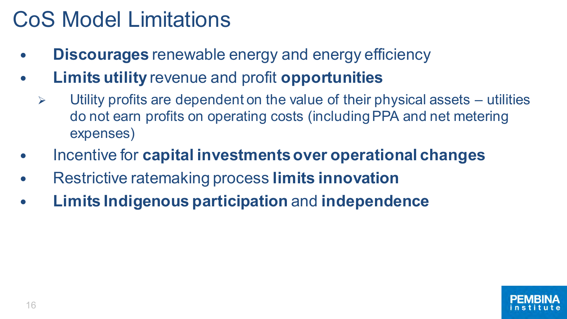### CoS Model Limitations

- **Discourages** renewable energy and energy efficiency
- **Limits utility** revenue and profit **opportunities**
	- $\triangleright$  Utility profits are dependent on the value of their physical assets utilities do not earn profits on operating costs (including PPA and net metering expenses)
- Incentive for **capital investments over operational changes**
- Restrictive ratemaking process **limits innovation**
- **Limits Indigenous participation** and **independence**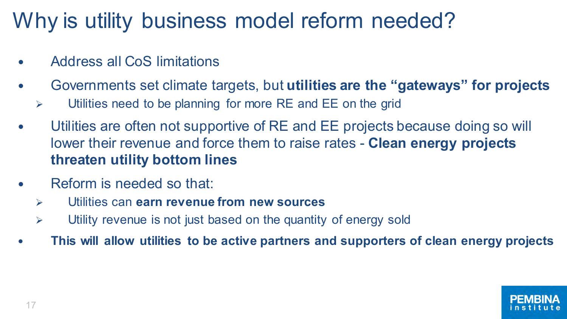### Why is utility business model reform needed?

- Address all CoS limitations
- Governments set climate targets, but **utilities are the "gateways" for projects**
	- $\triangleright$  Utilities need to be planning for more RE and EE on the grid
- Utilities are often not supportive of RE and EE projects because doing so will lower their revenue and force them to raise rates - **Clean energy projects threaten utility bottom lines**
- Reform is needed so that:
	- ➢ Utilities can **earn revenue from new sources**
	- $\triangleright$  Utility revenue is not just based on the quantity of energy sold
- **This will allow utilities to be active partners and supporters of clean energy projects**

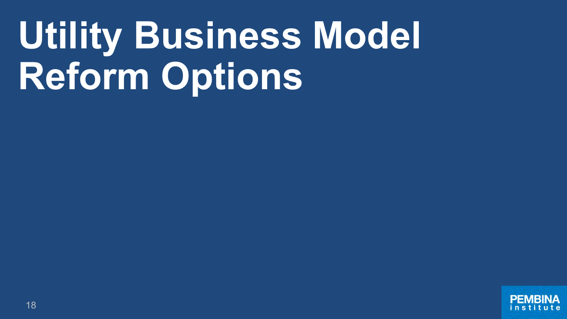# **Utility Business Model Reform Options**

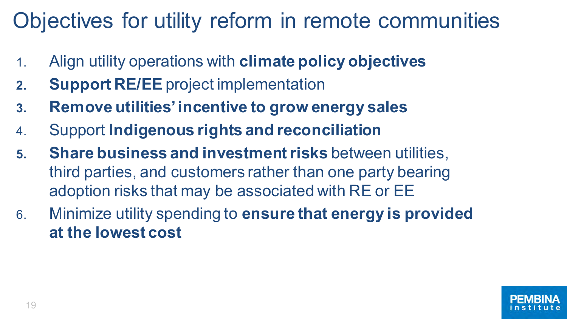## Objectives for utility reform in remote communities

- 1. Align utility operations with **climate policy objectives**
- **2. Support RE/EE** project implementation
- **3. Remove utilities' incentive to grow energy sales**
- 4. Support **Indigenous rights and reconciliation**
- **5. Share business and investment risks** between utilities, third parties, and customers rather than one party bearing adoption risks that may be associated with RE or EE
- 6. Minimize utility spending to **ensure that energy is provided at the lowest cost**

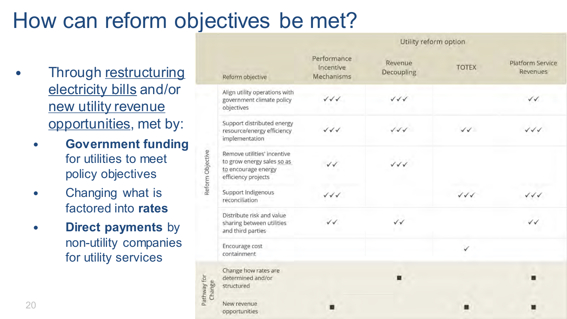#### How can reform objectives be met?

Utility reform option

- Through restructuring electricity bills and/or new utility revenue opportunities, met by:
	- **Government funding**  for utilities to meet policy objectives
	- Changing what is factored into **rates**
	- **Direct payments** by non-utility companies for utility services

|                          | Reform objective                                                                                        | Performance<br>Incentive<br>Mechanisms | Revenue<br>Decoupling            | <b>TOTEX</b>                     | <b>Platform Service</b><br>Revenues |
|--------------------------|---------------------------------------------------------------------------------------------------------|----------------------------------------|----------------------------------|----------------------------------|-------------------------------------|
| Reform Objective         | Align utility operations with<br>government climate policy<br>objectives                                | $\sqrt{\sqrt{}}$                       | $\checkmark\checkmark\checkmark$ |                                  | VV                                  |
|                          | Support distributed energy<br>resource/energy efficiency<br>implementation                              | $\sqrt{\sqrt{}}$                       | $\sqrt{2}$                       | $\checkmark$                     | $\checkmark\checkmark\checkmark$    |
|                          | Remove utilities' incentive<br>to grow energy sales so as<br>to encourage energy<br>efficiency projects | vv                                     | $\checkmark\checkmark\checkmark$ |                                  |                                     |
|                          | Support Indigenous<br>reconciliation                                                                    | $\checkmark\checkmark\checkmark$       |                                  | $\checkmark\checkmark\checkmark$ | $\checkmark$                        |
|                          | Distribute risk and value<br>sharing between utilities<br>and third parties                             | $\checkmark$                           | $\checkmark$                     |                                  | VV                                  |
|                          | Encourage cost<br>containment                                                                           |                                        |                                  | ✓                                |                                     |
| þ<br>Change<br>Kpwl<br>E | Change how rates are<br>determined and/or<br>structured                                                 |                                        |                                  |                                  |                                     |
|                          | New revenue<br>opportunities                                                                            |                                        |                                  |                                  |                                     |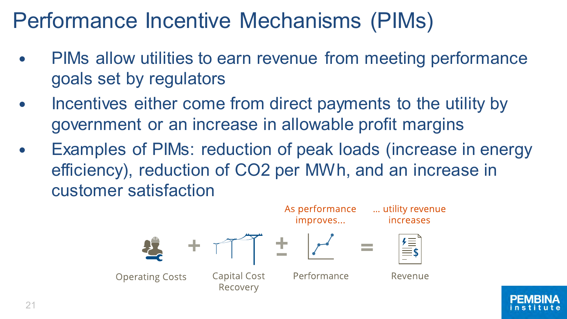### Performance Incentive Mechanisms (PIMs)

- PIMs allow utilities to earn revenue from meeting performance goals set by regulators
- Incentives either come from direct payments to the utility by government or an increase in allowable profit margins
- Examples of PIMs: reduction of peak loads (increase in energy efficiency), reduction of CO2 per MWh, and an increase in customer satisfaction



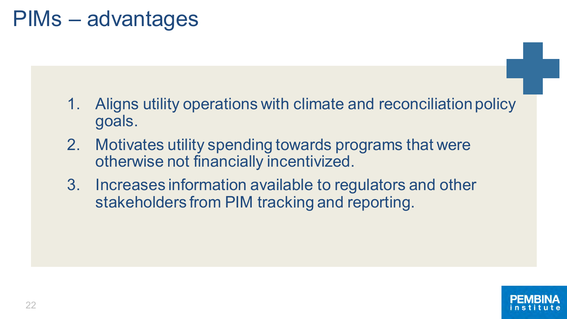#### PIMs – advantages

- 1. Aligns utility operations with climate and reconciliation policy goals.
- 2. Motivates utility spending towards programs that were otherwise not financially incentivized.
- 3. Increases information available to regulators and other stakeholders from PIM tracking and reporting.

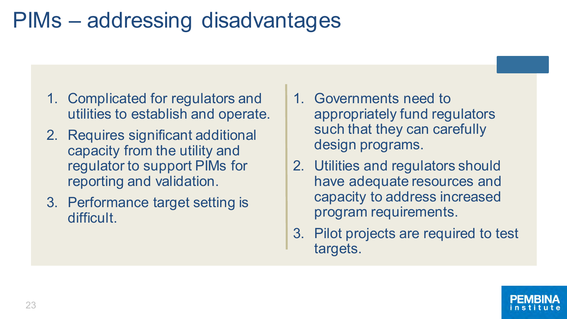#### PIMs – addressing disadvantages

- 1. Complicated for regulators and utilities to establish and operate.
- 2. Requires significant additional capacity from the utility and regulator to support PIMs for reporting and validation.
- 3. Performance target setting is difficult.
- 1. Governments need to appropriately fund regulators such that they can carefully design programs.
- 2. Utilities and regulators should have adequate resources and capacity to address increased program requirements.
- 3. Pilot projects are required to test targets.

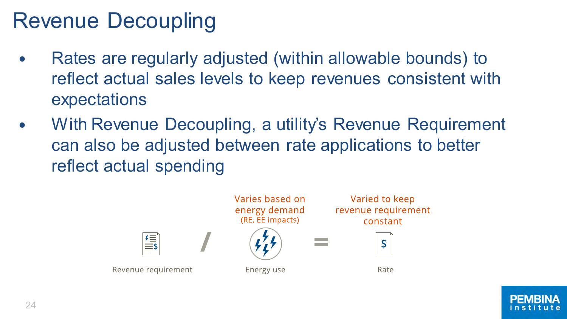## Revenue Decoupling

- Rates are regularly adjusted (within allowable bounds) to reflect actual sales levels to keep revenues consistent with expectations
- With Revenue Decoupling, a utility's Revenue Requirement can also be adjusted between rate applications to better reflect actual spending



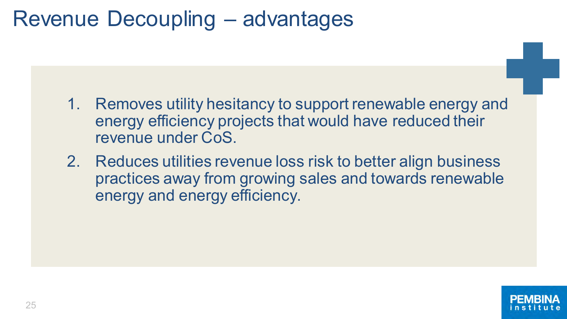#### Revenue Decoupling – advantages

- 1. Removes utility hesitancy to support renewable energy and energy efficiency projects that would have reduced their revenue under CoS.
- 2. Reduces utilities revenue loss risk to better align business practices away from growing sales and towards renewable energy and energy efficiency.

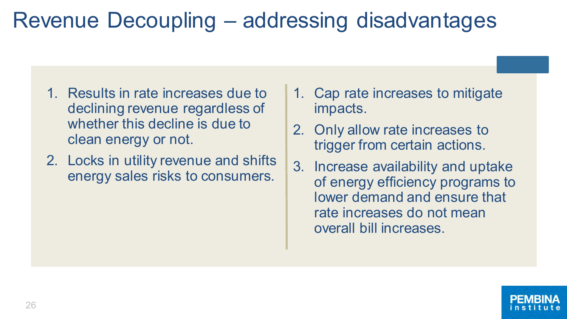- 1. Results in rate increases due to declining revenue regardless of whether this decline is due to clean energy or not.
- 2. Locks in utility revenue and shifts energy sales risks to consumers.
- 1. Cap rate increases to mitigate impacts.
- 2. Only allow rate increases to trigger from certain actions.
- 3. Increase availability and uptake of energy efficiency programs to lower demand and ensure that rate increases do not mean overall bill increases.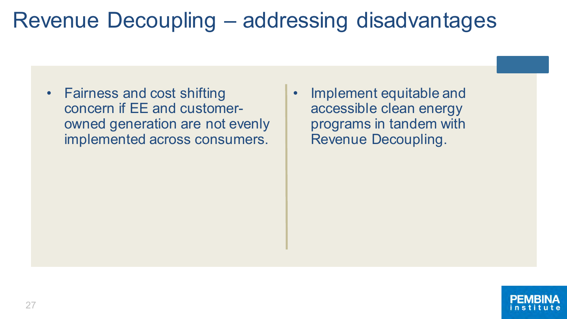- Fairness and cost shifting concern if EE and customerowned generation are not evenly implemented across consumers.
- Implement equitable and accessible clean energy programs in tandem with Revenue Decoupling.

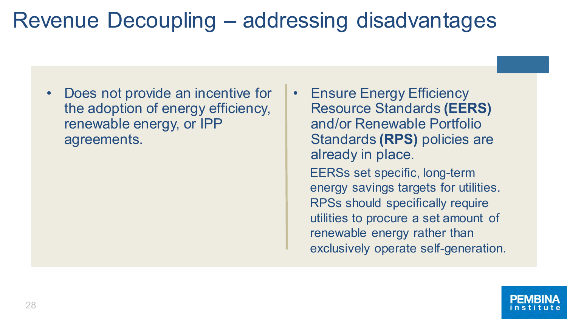- Does not provide an incentive for the adoption of energy efficiency, renewable energy, or IPP agreements.
- **Ensure Energy Efficiency** Resource Standards **(EERS)**  and/or Renewable Portfolio Standards **(RPS)** policies are already in place. EERSs set specific, long-term energy savings targets for utilities. RPSs should specifically require utilities to procure a set amount of renewable energy rather than exclusively operate self-generation.

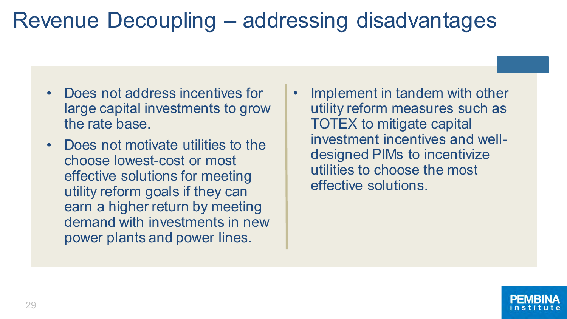- Does not address incentives for large capital investments to grow the rate base.
- Does not motivate utilities to the choose lowest-cost or most effective solutions for meeting utility reform goals if they can earn a higher return by meeting demand with investments in new power plants and power lines.
- Implement in tandem with other utility reform measures such as TOTEX to mitigate capital investment incentives and welldesigned PIMs to incentivize utilities to choose the most effective solutions.

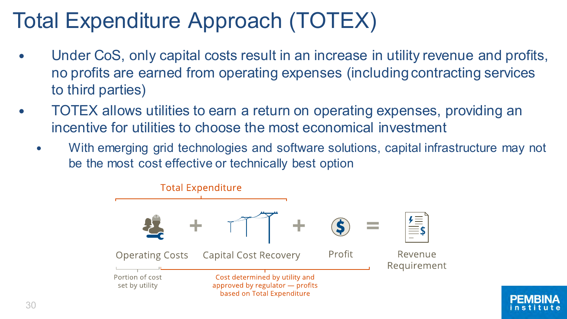## Total Expenditure Approach (TOTEX)

- Under CoS, only capital costs result in an increase in utility revenue and profits, no profits are earned from operating expenses (including contracting services to third parties)
- TOTEX allows utilities to earn a return on operating expenses, providing an incentive for utilities to choose the most economical investment
	- With emerging grid technologies and software solutions, capital infrastructure may not be the most cost effective or technically best option



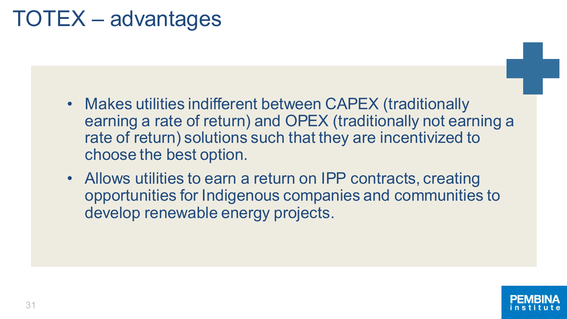### TOTEX – advantages

- Makes utilities indifferent between CAPEX (traditionally earning a rate of return) and OPEX (traditionally not earning a rate of return) solutions such that they are incentivized to choose the best option.
- Allows utilities to earn a return on IPP contracts, creating opportunities for Indigenous companies and communities to develop renewable energy projects.

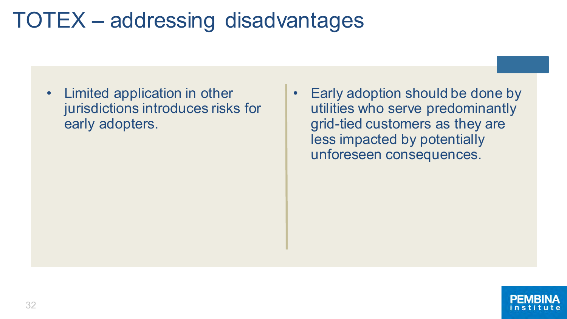### TOTEX – addressing disadvantages

- Limited application in other jurisdictions introduces risks for early adopters.
- Early adoption should be done by utilities who serve predominantly grid-tied customers as they are less impacted by potentially unforeseen consequences.

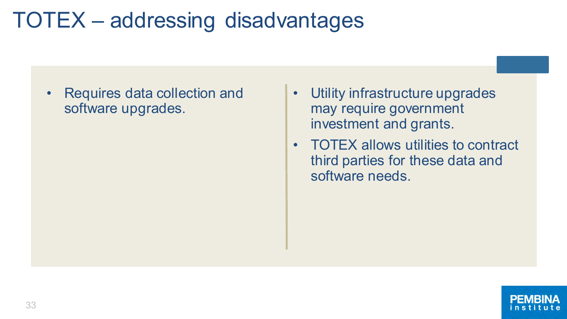### TOTEX – addressing disadvantages

• Requires data collection and software upgrades.

- Utility infrastructure upgrades may require government investment and grants.
- TOTEX allows utilities to contract third parties for these data and software needs.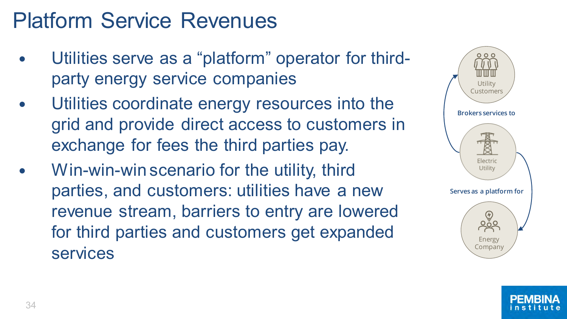### Platform Service Revenues

- Utilities serve as a "platform" operator for thirdparty energy service companies
- Utilities coordinate energy resources into the grid and provide direct access to customers in exchange for fees the third parties pay.
- Win-win-win scenario for the utility, third parties, and customers: utilities have a new revenue stream, barriers to entry are lowered for third parties and customers get expanded services



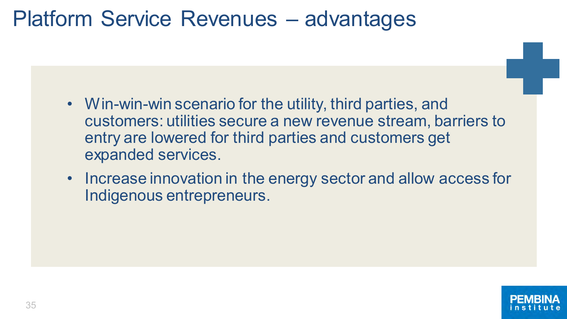#### Platform Service Revenues – advantages

- Win-win-win scenario for the utility, third parties, and customers: utilities secure a new revenue stream, barriers to entry are lowered for third parties and customers get expanded services.
- Increase innovation in the energy sector and allow access for Indigenous entrepreneurs.

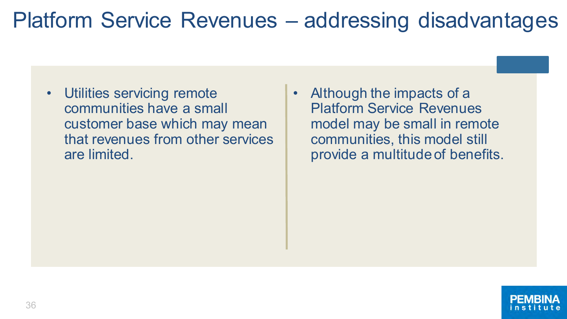#### Platform Service Revenues – addressing disadvantages

- Utilities servicing remote communities have a small customer base which may mean that revenues from other services are limited.
- Although the impacts of a Platform Service Revenues model may be small in remote communities, this model still provide a multitude of benefits.

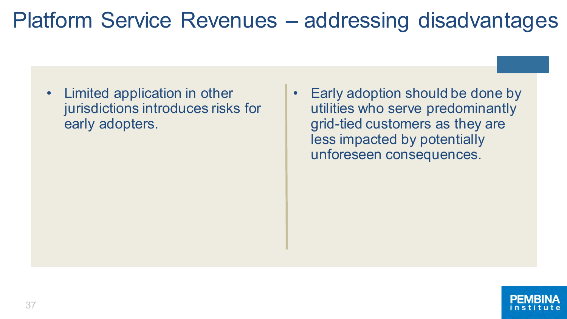#### Platform Service Revenues – addressing disadvantages

- Limited application in other jurisdictions introduces risks for early adopters.
- Early adoption should be done by utilities who serve predominantly grid-tied customers as they are less impacted by potentially unforeseen consequences.

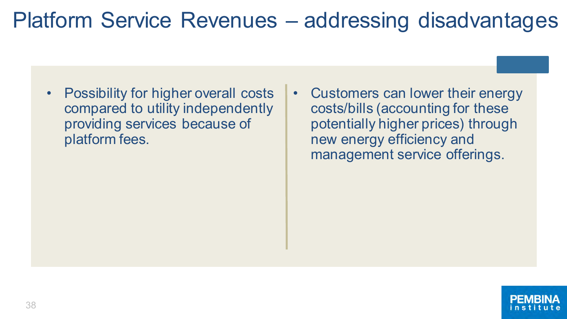#### Platform Service Revenues – addressing disadvantages

- Possibility for higher overall costs compared to utility independently providing services because of platform fees.
- Customers can lower their energy costs/bills (accounting for these potentially higher prices) through new energy efficiency and management service offerings.

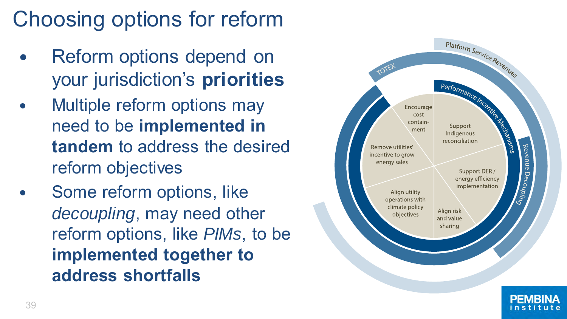# Choosing options for reform

- Reform options depend on your jurisdiction's **priorities**
- Multiple reform options may need to be **implemented in tandem** to address the desired reform objectives
- Some reform options, like *decoupling*, may need other reform options, like *PIMs*, to be **implemented together to address shortfalls**

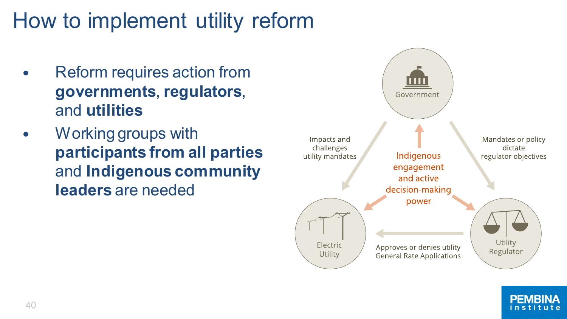# How to implement utility reform

- Reform requires action from **governments**, **regulators**, and **utilities**
- Working groups with **participants from all parties**  and **Indigenous community leaders** are needed



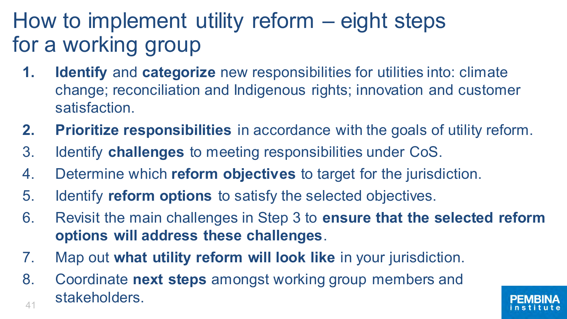## How to implement utility reform – eight steps for a working group

- **1. Identify** and **categorize** new responsibilities for utilities into: climate change; reconciliation and Indigenous rights; innovation and customer satisfaction.
- **2. Prioritize responsibilities** in accordance with the goals of utility reform.
- 3. Identify **challenges** to meeting responsibilities under CoS.
- 4. Determine which **reform objectives** to target for the jurisdiction.
- 5. Identify **reform options** to satisfy the selected objectives.
- 6. Revisit the main challenges in Step 3 to **ensure that the selected reform options will address these challenges**.
- 7. Map out **what utility reform will look like** in your jurisdiction.
- 41 8. Coordinate **next steps** amongst working group members and stakeholders.

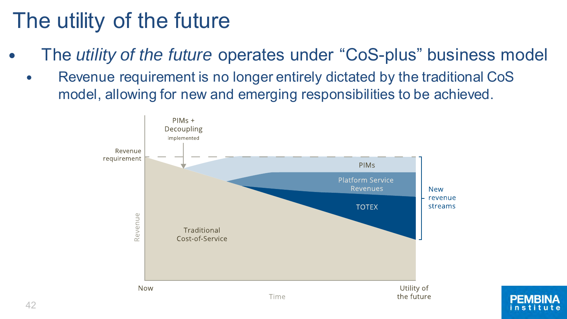## The utility of the future

- The *utility of the future* operates under "CoS-plus" business model
	- Revenue requirement is no longer entirely dictated by the traditional CoS model, allowing for new and emerging responsibilities to be achieved.

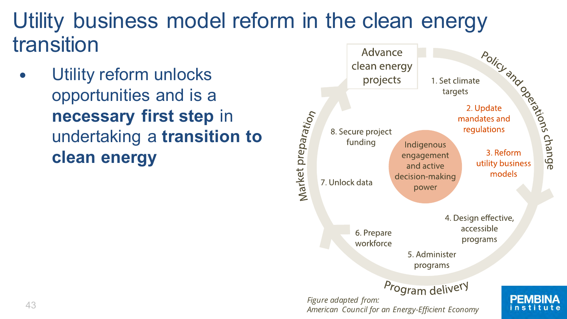#### Utility business model reform in the clean energy transition Advance

 Utility reform unlocks opportunities and is a **necessary first step** in undertaking a **transition to clean energy**